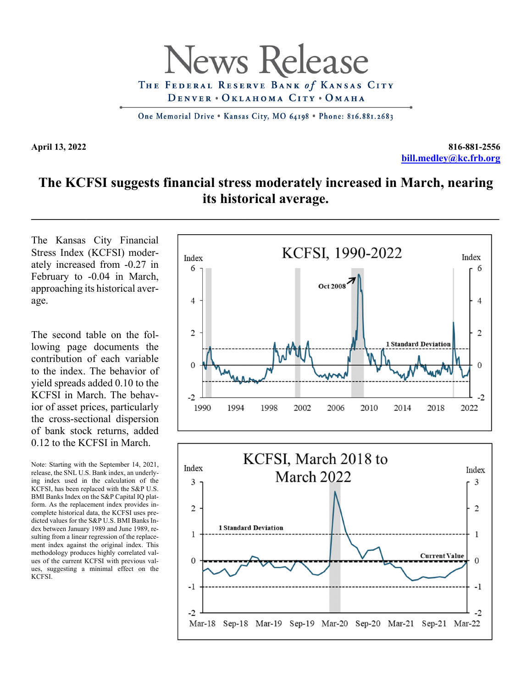

One Memorial Drive . Kansas City, MO 64198 . Phone: 816.881.2683

**April 13, 2022 816-881-2556 bill.medley@kc.frb.org**

## **The KCFSI suggests financial stress moderately increased in March, nearing its historical average.**

The Kansas City Financial Stress Index (KCFSI) moderately increased from -0.27 in February to -0.04 in March, approaching its historical average.

The second table on the following page documents the contribution of each variable to the index. The behavior of yield spreads added 0.10 to the KCFSI in March. The behavior of asset prices, particularly the cross-sectional dispersion of bank stock returns, added 0.12 to the KCFSI in March.

Note: Starting with the September 14, 2021, release, the SNL U.S. Bank index, an underlying index used in the calculation of the KCFSI, has been replaced with the S&P U.S. BMI Banks Index on the S&P Capital IQ platform. As the replacement index provides incomplete historical data, the KCFSI uses predicted values for the S&P U.S. BMI Banks Index between January 1989 and June 1989, resulting from a linear regression of the replacement index against the original index. This methodology produces highly correlated values of the current KCFSI with previous values, suggesting a minimal effect on the KCFSI.

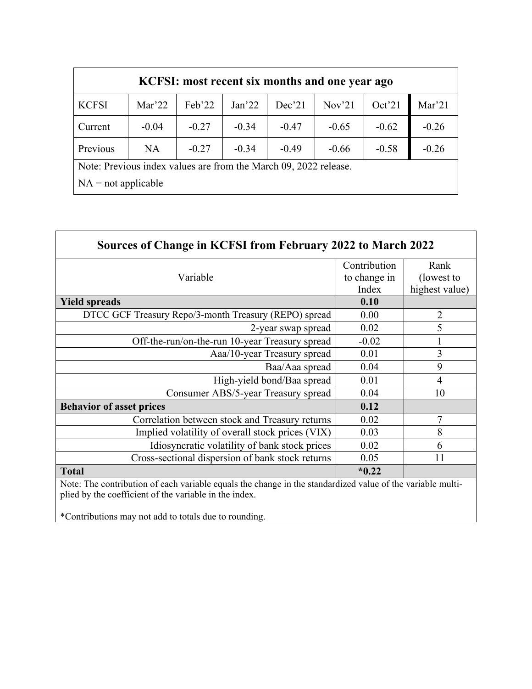| KCFSI: most recent six months and one year ago                   |           |         |                   |         |                   |         |         |  |
|------------------------------------------------------------------|-----------|---------|-------------------|---------|-------------------|---------|---------|--|
| <b>KCFSI</b>                                                     | Mar'22    | Feb'22  | Jan <sup>22</sup> | Dec21   | Nov <sup>21</sup> | Oct'21  | Mar'21  |  |
| Current                                                          | $-0.04$   | $-0.27$ | $-0.34$           | $-0.47$ | $-0.65$           | $-0.62$ | $-0.26$ |  |
| Previous                                                         | <b>NA</b> | $-0.27$ | $-0.34$           | $-0.49$ | $-0.66$           | $-0.58$ | $-0.26$ |  |
| Note: Previous index values are from the March 09, 2022 release. |           |         |                   |         |                   |         |         |  |
| $NA = not applicable$                                            |           |         |                   |         |                   |         |         |  |

| Sources of Change in KCFSI from February 2022 to March 2022 |              |                |  |  |  |  |  |
|-------------------------------------------------------------|--------------|----------------|--|--|--|--|--|
|                                                             | Contribution | Rank           |  |  |  |  |  |
| Variable                                                    | to change in | (lowest to     |  |  |  |  |  |
|                                                             | Index        | highest value) |  |  |  |  |  |
| <b>Yield spreads</b>                                        | 0.10         |                |  |  |  |  |  |
| DTCC GCF Treasury Repo/3-month Treasury (REPO) spread       | 0.00         | $\overline{2}$ |  |  |  |  |  |
| 2-year swap spread                                          | 0.02         | 5              |  |  |  |  |  |
| Off-the-run/on-the-run 10-year Treasury spread              | $-0.02$      |                |  |  |  |  |  |
| Aaa/10-year Treasury spread                                 | 0.01         | 3              |  |  |  |  |  |
| Baa/Aaa spread                                              | 0.04         | 9              |  |  |  |  |  |
| High-yield bond/Baa spread                                  | 0.01         | 4              |  |  |  |  |  |
| Consumer ABS/5-year Treasury spread                         | 0.04         | 10             |  |  |  |  |  |
| <b>Behavior of asset prices</b>                             | 0.12         |                |  |  |  |  |  |
| Correlation between stock and Treasury returns              | 0.02         | 7              |  |  |  |  |  |
| Implied volatility of overall stock prices (VIX)            | 0.03         | 8              |  |  |  |  |  |
| Idiosyncratic volatility of bank stock prices               | 0.02         | 6              |  |  |  |  |  |
| Cross-sectional dispersion of bank stock returns            | 0.05         | 11             |  |  |  |  |  |
| <b>Total</b>                                                | $*0.22$      |                |  |  |  |  |  |

Note: The contribution of each variable equals the change in the standardized value of the variable multiplied by the coefficient of the variable in the index.

\*Contributions may not add to totals due to rounding.